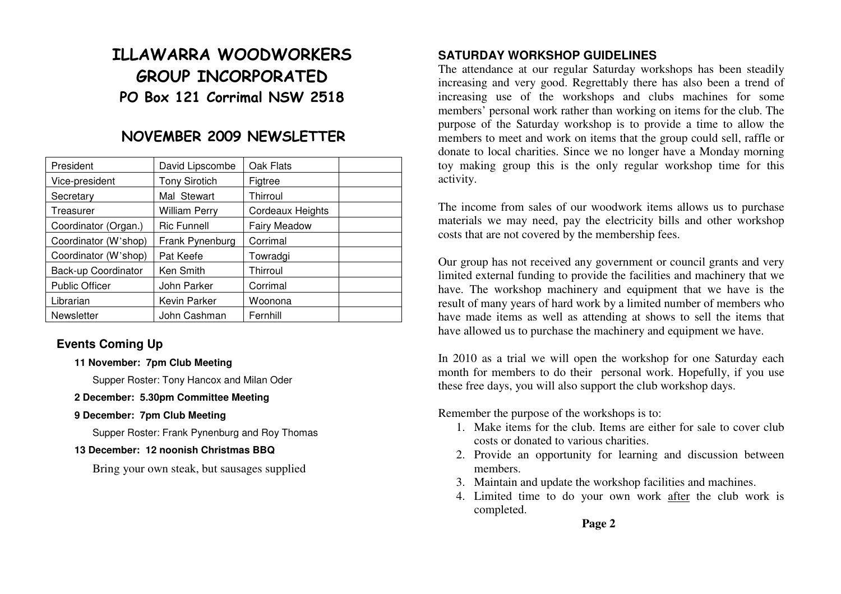# **ILLAWARRA WOODWORKERS GROUP INCORPORATED PO Box 121 Corrimal NSW 2518**

# **NOVEMBER 2009 NEWSLETTER**

| President             | David Lipscombe      | Oak Flats           |
|-----------------------|----------------------|---------------------|
| Vice-president        | <b>Tony Sirotich</b> | Figtree             |
| Secretary             | Mal Stewart          | Thirroul            |
| Treasurer             | <b>William Perry</b> | Cordeaux Heights    |
| Coordinator (Organ.)  | <b>Ric Funnell</b>   | <b>Fairy Meadow</b> |
| Coordinator (W'shop)  | Frank Pynenburg      | Corrimal            |
| Coordinator (W'shop)  | Pat Keefe            | Towradgi            |
| Back-up Coordinator   | Ken Smith            | Thirroul            |
| <b>Public Officer</b> | John Parker          | Corrimal            |
| Librarian             | Kevin Parker         | Woonona             |
| Newsletter            | John Cashman         | Fernhill            |

### **Events Coming Up**

**11 November: 7pm Club Meeting** 

Supper Roster: Tony Hancox and Milan Oder

- **2 December: 5.30pm Committee Meeting**
- **9 December: 7pm Club Meeting**

Supper Roster: Frank Pynenburg and Roy Thomas

#### **13 December: 12 noonish Christmas BBQ**

Bring your own steak, but sausages supplied

### **SATURDAY WORKSHOP GUIDELINES**

 The attendance at our regular Saturday workshops has been steadily increasing and very good. Regrettably there has also been a trend of increasing use of the workshops and clubs machines for some members' personal work rather than working on items for the club. The purpose of the Saturday workshop is to provide a time to allow the members to meet and work on items that the group could sell, raffle or donate to local charities. Since we no longer have a Monday morning toy making group this is the only regular workshop time for this activity.

The income from sales of our woodwork items allows us to purchase materials we may need, pay the electricity bills and other workshop costs that are not covered by the membership fees.

Our group has not received any government or council grants and very limited external funding to provide the facilities and machinery that we have. The workshop machinery and equipment that we have is the result of many years of hard work by a limited number of members who have made items as well as attending at shows to sell the items that have allowed us to purchase the machinery and equipment we have.

In 2010 as a trial we will open the workshop for one Saturday each month for members to do their personal work. Hopefully, if you use these free days, you will also support the club workshop days.

Remember the purpose of the workshops is to:

- 1. Make items for the club. Items are either for sale to cover club costs or donated to various charities.
- 2. Provide an opportunity for learning and discussion between members.
- 3. Maintain and update the workshop facilities and machines.
- 4. Limited time to do your own work after the club work is completed.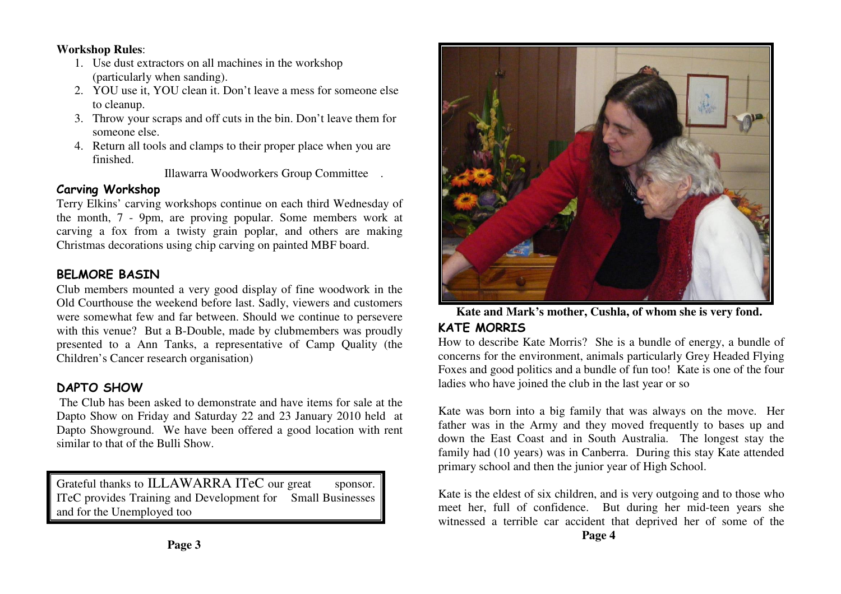#### **Workshop Rules**:

- 1. Use dust extractors on all machines in the workshop(particularly when sanding).
- 2. YOU use it, YOU clean it. Don't leave a mess for someone else to cleanup.
- 3. Throw your scraps and off cuts in the bin. Don't leave them for someone else.
- 4. Return all tools and clamps to their proper place when you are finished.

Illawarra Woodworkers Group Committee .

### **Carving Workshop**

 Terry Elkins' carving workshops continue on each third Wednesday of the month, 7 - 9pm, are proving popular. Some members work at carving a fox from a twisty grain poplar, and others are making Christmas decorations using chip carving on painted MBF board.

### **BELMORE BASIN**

 Club members mounted a very good display of fine woodwork in the Old Courthouse the weekend before last. Sadly, viewers and customers were somewhat few and far between. Should we continue to persevere with this venue? But a B-Double, made by clubmembers was proudly presented to a Ann Tanks, a representative of Camp Quality (the Children's Cancer research organisation)

# **DAPTO SHOW**

 The Club has been asked to demonstrate and have items for sale at the Dapto Show on Friday and Saturday 22 and 23 January 2010 held at Dapto Showground. We have been offered a good location with rent similar to that of the Bulli Show.

Grateful thanks to ILLAWARRA ITeC our great sponsor. ITeC provides Training and Development for Small Businesses and for the Unemployed too



 **Kate and Mark's mother, Cushla, of whom she is very fond.** 

# **KATE MORRIS**

 How to describe Kate Morris? She is a bundle of energy, a bundle of concerns for the environment, animals particularly Grey Headed Flying Foxes and good politics and a bundle of fun too! Kate is one of the four ladies who have joined the club in the last year or so

Kate was born into a big family that was always on the move. Her father was in the Army and they moved frequently to bases up and down the East Coast and in South Australia. The longest stay the family had (10 years) was in Canberra. During this stay Kate attended primary school and then the junior year of High School.

Kate is the eldest of six children, and is very outgoing and to those who meet her, full of confidence. But during her mid-teen years she witnessed a terrible car accident that deprived her of some of the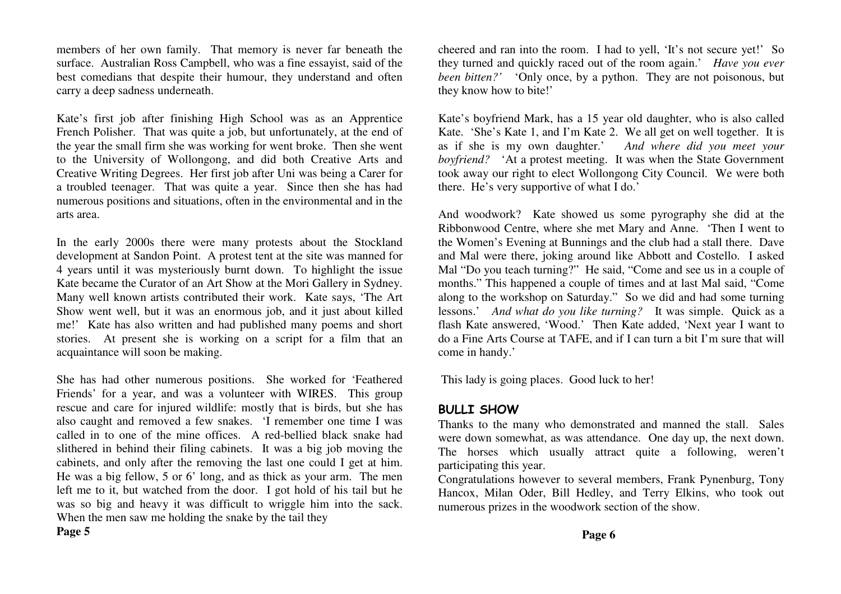members of her own family. That memory is never far beneath the surface. Australian Ross Campbell, who was a fine essayist, said of the best comedians that despite their humour, they understand and often carry a deep sadness underneath.

Kate's first job after finishing High School was as an Apprentice French Polisher. That was quite a job, but unfortunately, at the end of the year the small firm she was working for went broke. Then she went to the University of Wollongong, and did both Creative Arts and Creative Writing Degrees. Her first job after Uni was being a Carer for a troubled teenager. That was quite a year. Since then she has had numerous positions and situations, often in the environmental and in the arts area.

In the early 2000s there were many protests about the Stockland development at Sandon Point. A protest tent at the site was manned for 4 years until it was mysteriously burnt down. To highlight the issue Kate became the Curator of an Art Show at the Mori Gallery in Sydney. Many well known artists contributed their work. Kate says, 'The Art Show went well, but it was an enormous job, and it just about killed me!' Kate has also written and had published many poems and short stories. At present she is working on a script for a film that an acquaintance will soon be making.

She has had other numerous positions. She worked for 'Feathered Friends' for a year, and was a volunteer with WIRES. This group rescue and care for injured wildlife: mostly that is birds, but she has also caught and removed a few snakes. 'I remember one time I was called in to one of the mine offices. A red-bellied black snake had slithered in behind their filing cabinets. It was a big job moving the cabinets, and only after the removing the last one could I get at him. He was a big fellow, 5 or 6' long, and as thick as your arm. The men left me to it, but watched from the door. I got hold of his tail but he was so big and heavy it was difficult to wriggle him into the sack. When the men saw me holding the snake by the tail they

cheered and ran into the room. I had to yell, 'It's not secure yet!' So they turned and quickly raced out of the room again.' *Have you ever been bitten?'* 'Only once, by a python. They are not poisonous, but they know how to bite!'

Kate's boyfriend Mark, has a 15 year old daughter, who is also called Kate. 'She's Kate 1, and I'm Kate 2. We all get on well together. It is And where did you meet your as if she is my own daughter.' *boyfriend?* 'At a protest meeting. It was when the State Government took away our right to elect Wollongong City Council. We were both there. He's very supportive of what I do.'

And woodwork? Kate showed us some pyrography she did at the Ribbonwood Centre, where she met Mary and Anne. 'Then I went to the Women's Evening at Bunnings and the club had a stall there. Dave and Mal were there, joking around like Abbott and Costello. I asked Mal "Do you teach turning?" He said, "Come and see us in a couple of months." This happened a couple of times and at last Mal said, "Come along to the workshop on Saturday." So we did and had some turning lessons.' *And what do you like turning?* It was simple. Quick as a flash Kate answered, 'Wood.' Then Kate added, 'Next year I want to do a Fine Arts Course at TAFE, and if I can turn a bit I'm sure that will come in handy.'

This lady is going places. Good luck to her!

### **BULLI SHOW**

 Thanks to the many who demonstrated and manned the stall. Sales were down somewhat, as was attendance. One day up, the next down. The horses which usually attract quite a following, weren't participating this year.

 Congratulations however to several members, Frank Pynenburg, Tony Hancox, Milan Oder, Bill Hedley, and Terry Elkins, who took out numerous prizes in the woodwork section of the show.